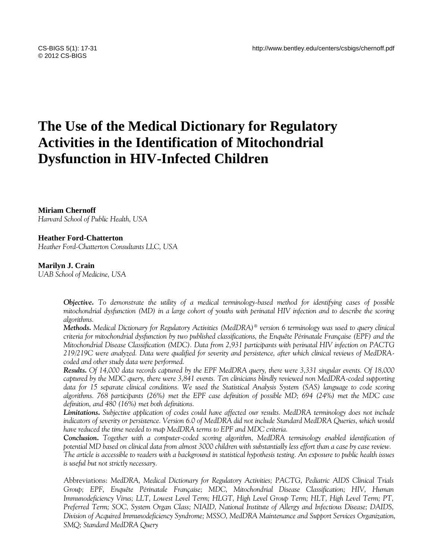# **The Use of the Medical Dictionary for Regulatory Activities in the Identification of Mitochondrial Dysfunction in HIV-Infected Children**

#### **Miriam Chernoff**

*Harvard School of Public Health, USA*

#### **Heather Ford-Chatterton**

*Heather Ford-Chatterton Consultants LLC, USA*

#### **Marilyn J. Crain**

*UAB School of Medicine, USA* 

*Objective. To demonstrate the utility of a medical terminology-based method for identifying cases of possible mitochondrial dysfunction (MD) in a large cohort of youths with perinatal HIV infection and to describe the scoring algorithms.*

*Methods. Medical Dictionary for Regulatory Activities (MedDRA)® version 6 terminology was used to query clinical criteria for mitochondrial dysfunction by two published classifications, the Enquête Périnatale Française (EPF) and the Mitochondrial Disease Classification (MDC). Data from 2,931 participants with perinatal HIV infection on PACTG 219/219C were analyzed. Data were qualified for severity and persistence, after which clinical reviews of MedDRAcoded and other study data were performed.*

*Results. Of 14,000 data records captured by the EPF MedDRA query, there were 3,331 singular events. Of 18,000 captured by the MDC query, there were 3,841 events. Ten clinicians blindly reviewed non MedDRA-coded supporting data for 15 separate clinical conditions. We used the Statistical Analysis System (SAS) language to code scoring algorithms. 768 participants (26%) met the EPF case definition of possible MD; 694 (24%) met the MDC case definition, and 480 (16%) met both definitions.*

*Limitations. Subjective application of codes could have affected our results. MedDRA terminology does not include indicators of severity or persistence. Version 6.0 of MedDRA did not include Standard MedDRA Queries, which would have reduced the time needed to map MedDRA terms to EPF and MDC criteria.*

*Conclusion. Together with a computer-coded scoring algorithm, MedDRA terminology enabled identification of potential MD based on clinical data from almost 3000 children with substantially less effort than a case by case review.*

*The article is accessible to readers with a background in statistical hypothesis testing. An exposure to public health issues is useful but not strictly necessary.*

Abbreviations: *MedDRA, Medical Dictionary for Regulatory Activities; PACTG, Pediatric AIDS Clinical Trials Group; EPF, Enquête Périnatale Française; MDC, Mitochondrial Disease Classification; HIV, Human Immunodeficiency Virus; LLT, Lowest Level Term; HLGT, High Level Group Term; HLT, High Level Term; PT, Preferred Term; SOC, System Organ Class; NIAID, National Institute of Allergy and Infectious Disease; DAIDS, Division of Acquired Immunodeficiency Syndrome; MSSO, MedDRA Maintenance and Support Services Organization, SMQ; Standard MedDRA Query*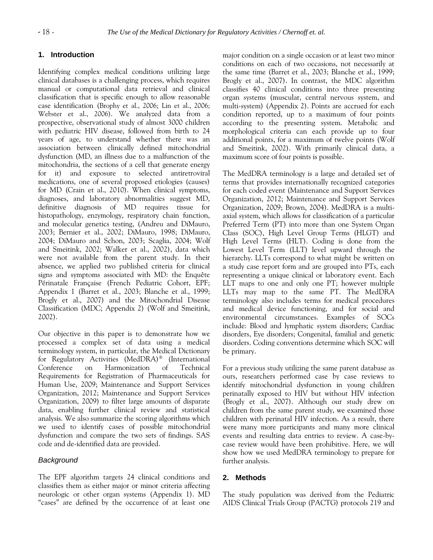### **1. Introduction**

Identifying complex medical conditions utilizing large clinical databases is a challenging process, which requires manual or computational data retrieval and clinical classification that is specific enough to allow reasonable case identification (Brophy et al., 2006; Lin et al., 2006; Webster et al., 2006). We analyzed data from a prospective, observational study of almost 3000 children with pediatric HIV disease, followed from birth to 24 years of age, to understand whether there was an association between clinically defined mitochondrial dysfunction (MD, an illness due to a malfunction of the mitochondria, the sections of a cell that generate energy for it) and exposure to selected antiretroviral medications, one of several proposed etiologies (causes) for MD (Crain et al., 2010). When clinical symptoms, diagnoses, and laboratory abnormalities suggest MD, definitive diagnosis of MD requires tissue for histopathology, enzymology, respiratory chain function, and molecular genetics testing, (Andreu and DiMauro, 2003; Bernier et al., 2002; DiMauro, 1998; DiMauro, 2004; DiMauro and Schon, 2003; Scaglia, 2004; Wolf and Smeitink, 2002; Walker et al., 2002), data which were not available from the parent study. In their absence, we applied two published criteria for clinical signs and symptoms associated with MD: the Enquête Périnatale Française (French Pediatric Cohort, EPF; Appendix 1 (Barret et al., 2003; Blanche et al., 1999; Brogly et al., 2007) and the Mitochondrial Disease Classification (MDC; Appendix 2) (Wolf and Smeitink, 2002).

Our objective in this paper is to demonstrate how we processed a complex set of data using a medical terminology system, in particular, the Medical Dictionary for Regulatory Activities (MedDRA)® (International Conference on Harmonization of Technical Requirements for Registration of Pharmaceuticals for Human Use, 2009; Maintenance and Support Services Organization, 2012; Maintenance and Support Services Organization, 2009) to filter large amounts of disparate data, enabling further clinical review and statistical analysis. We also summarize the scoring algorithms which we used to identify cases of possible mitochondrial dysfunction and compare the two sets of findings. SAS code and de-identified data are provided.

#### *Background*

The EPF algorithm targets 24 clinical conditions and classifies them as either major or minor criteria affecting neurologic or other organ systems (Appendix 1). MD "cases" are defined by the occurrence of at least one major condition on a single occasion or at least two minor conditions on each of two occasions, not necessarily at the same time (Barret et al., 2003; Blanche et al., 1999; Brogly et al., 2007). In contrast, the MDC algorithm classifies 40 clinical conditions into three presenting organ systems (muscular, central nervous system, and multi-system) (Appendix 2). Points are accrued for each condition reported, up to a maximum of four points according to the presenting system. Metabolic and morphological criteria can each provide up to four additional points, for a maximum of twelve points (Wolf and Smeitink, 2002). With primarily clinical data, a maximum score of four points is possible.

The MedDRA terminology is a large and detailed set of terms that provides internationally recognized categories for each coded event (Maintenance and Support Services Organization, 2012; Maintenance and Support Services Organization, 2009; Brown, 2004). MedDRA is a multiaxial system, which allows for classification of a particular Preferred Term (PT) into more than one System Organ Class (SOC), High Level Group Terms (HLGT) and High Level Terms (HLT). Coding is done from the Lowest Level Term (LLT) level upward through the hierarchy. LLTs correspond to what might be written on a study case report form and are grouped into PTs, each representing a unique clinical or laboratory event. Each LLT maps to one and only one PT; however multiple LLTs may map to the same PT. The MedDRA terminology also includes terms for medical procedures and medical device functioning, and for social and environmental circumstances. Examples of SOCs include: Blood and lymphatic system disorders; Cardiac disorders, Eye disorders; Congenital, familial and genetic disorders. Coding conventions determine which SOC will be primary.

For a previous study utilizing the same parent database as ours, researchers performed case by case reviews to identify mitochondrial dysfunction in young children perinatally exposed to HIV but without HIV infection (Brogly et al., 2007). Although our study drew on children from the same parent study, we examined those children with perinatal HIV infection. As a result, there were many more participants and many more clinical events and resulting data entries to review. A case-bycase review would have been prohibitive. Here, we will show how we used MedDRA terminology to prepare for further analysis.

#### **2. Methods**

The study population was derived from the Pediatric AIDS Clinical Trials Group (PACTG) protocols 219 and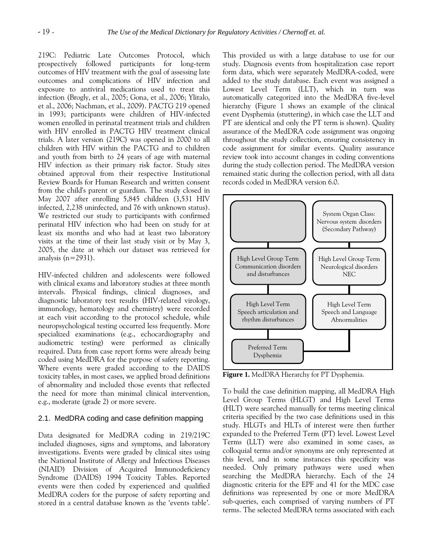219C: Pediatric Late Outcomes Protocol, which prospectively followed participants for long-term outcomes of HIV treatment with the goal of assessing late outcomes and complications of HIV infection and exposure to antiviral medications used to treat this infection (Brogly, et al., 2005; Gona, et al., 2006; Ylitalo, et al., 2006; Nachman, et al., 2009). PACTG 219 opened in 1993; participants were children of HIV-infected women enrolled in perinatal treatment trials and children with HIV enrolled in PACTG HIV treatment clinical trials. A later version (219C) was opened in 2000 to all children with HIV within the PACTG and to children and youth from birth to 24 years of age with maternal HIV infection as their primary risk factor. Study sites obtained approval from their respective Institutional Review Boards for Human Research and written consent from the child's parent or guardian. The study closed in May 2007 after enrolling 5,845 children (3,531 HIV infected, 2,238 uninfected, and 76 with unknown status). We restricted our study to participants with confirmed perinatal HIV infection who had been on study for at least six months and who had at least two laboratory visits at the time of their last study visit or by May 3, 2005, the date at which our dataset was retrieved for analysis  $(n=2931)$ .

HIV-infected children and adolescents were followed with clinical exams and laboratory studies at three month intervals. Physical findings, clinical diagnoses, and diagnostic laboratory test results (HIV-related virology, immunology, hematology and chemistry) were recorded at each visit according to the protocol schedule, while neuropsychological testing occurred less frequently. More specialized examinations (e.g., echocardiography and audiometric testing) were performed as clinically required. Data from case report forms were already being coded using MedDRA for the purpose of safety reporting. Where events were graded according to the DAIDS toxicity tables, in most cases, we applied broad definitions of abnormality and included those events that reflected the need for more than minimal clinical intervention, e.g., moderate (grade 2) or more severe.

#### 2.1. MedDRA coding and case definition mapping

Data designated for MedDRA coding in 219/219C included diagnoses, signs and symptoms, and laboratory investigations. Events were graded by clinical sites using the National Institute of Allergy and Infectious Diseases (NIAID) Division of Acquired Immunodeficiency Syndrome (DAIDS) 1994 Toxicity Tables. Reported events were then coded by experienced and qualified MedDRA coders for the purpose of safety reporting and stored in a central database known as the "events table". This provided us with a large database to use for our study. Diagnosis events from hospitalization case report form data, which were separately MedDRA-coded, were added to the study database. Each event was assigned a Lowest Level Term (LLT), which in turn was automatically categorized into the MedDRA five-level hierarchy (Figure 1 shows an example of the clinical event Dysphemia (stuttering), in which case the LLT and PT are identical and only the PT term is shown). Quality assurance of the MedDRA code assignment was ongoing throughout the study collection, ensuring consistency in code assignment for similar events. Quality assurance review took into account changes in coding conventions during the study collection period. The MedDRA version remained static during the collection period, with all data records coded in MedDRA version 6.0.



**Figure 1.** MedDRA Hierarchy for PT Dysphemia.

To build the case definition mapping, all MedDRA High Level Group Terms (HLGT) and High Level Terms (HLT) were searched manually for terms meeting clinical criteria specified by the two case definitions used in this study. HLGTs and HLTs of interest were then further expanded to the Preferred Term (PT) level. Lowest Level Terms (LLT) were also examined in some cases, as colloquial terms and/or synonyms are only represented at this level, and in some instances this specificity was needed. Only primary pathways were used when searching the MedDRA hierarchy. Each of the 24 diagnostic criteria for the EPF and 41 for the MDC case definitions was represented by one or more MedDRA sub-queries, each comprised of varying numbers of PT terms. The selected MedDRA terms associated with each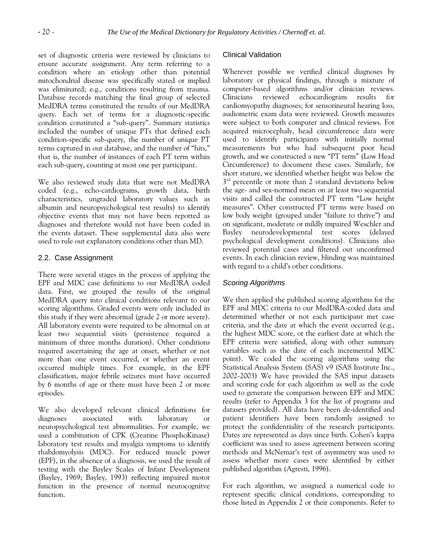set of diagnostic criteria were reviewed by clinicians to ensure accurate assignment. Any term referring to a condition where an etiology other than potential mitochondrial disease was specifically stated or implied was eliminated; e.g., conditions resulting from trauma. Database records matching the final group of selected MedDRA terms constituted the results of our MedDRA query. Each set of terms for a diagnostic-specific condition constituted a "sub-query". Summary statistics included the number of unique PTs that defined each condition-specific sub-query, the number of unique PT terms captured in our database, and the number of "hits," that is, the number of instances of each PT term within each sub-query, counting at most one per participant.

We also reviewed study data that were not MedDRA coded (e.g., echo-cardiograms, growth data, birth characteristics, ungraded laboratory values such as albumin and neuropsychological test results) to identify objective events that may not have been reported as diagnoses and therefore would not have been coded in the events dataset. These supplemental data also were used to rule out explanatory conditions other than MD.

#### 2.2. Case Assignment

There were several stages in the process of applying the EPF and MDC case definitions to our MedDRA coded data. First, we grouped the results of the original MedDRA query into clinical conditions relevant to our scoring algorithms. Graded events were only included in this study if they were abnormal (grade 2 or more severe). All laboratory events were required to be abnormal on at least two sequential visits (persistence required a minimum of three months duration). Other conditions required ascertaining the age at onset, whether or not more than one event occurred, or whether an event occurred multiple times. For example, in the EPF classification, major febrile seizures must have occurred by 6 months of age or there must have been 2 or more episodes.

We also developed relevant clinical definitions for diagnoses associated with laboratory or neuropsychological test abnormalities. For example, we used a combination of CPK (Creatine PhosphoKinase) laboratory test results and myalgia symptoms to identify rhabdomyolysis (MDC). For reduced muscle power (EPF), in the absence of a diagnosis, we used the result of testing with the Bayley Scales of Infant Development (Bayley, 1969; Bayley, 1993) reflecting impaired motor function in the presence of normal neurocognitve function.

#### Clinical Validation

Wherever possible we verified clinical diagnoses by laboratory or physical findings, through a mixture of computer-based algorithms and/or clinician reviews. Clinicians reviewed echocardiogram results for cardiomyopathy diagnoses; for sensorineural hearing loss, audiometric exam data were reviewed. Growth measures were subject to both computer and clinical reviews. For acquired microcephaly, head circumference data were used to identify participants with initially normal measurements but who had subsequent poor head growth, and we constructed a new "PT term" (Low Head Circumference) to document these cases. Similarly, for short stature, we identified whether height was below the 3<sup>rd</sup> percentile or more than 2 standard deviations below the age- and sex-normed mean on at least two sequential visits and called the constructed PT term "Low height measures". Other constructed PT terms were based on low body weight (grouped under "failure to thrive") and on significant, moderate or mildly impaired Weschler and Bayley neurodevelopmental test scores (delayed psychological development conditions). Clinicians also reviewed potential cases and filtered out unconfirmed events. In each clinician review, blinding was maintained with regard to a child's other conditions.

#### *Scoring Algorithms*

We then applied the published scoring algorithms for the EPF and MDC criteria to our MedDRA-coded data and determined whether or not each participant met case criteria, and the date at which the event occurred (e.g., the highest MDC score, or the earliest date at which the EPF criteria were satisfied, along with other summary variables such as the date of each incremental MDC point). We coded the scoring algorithms using the Statistical Analysis System (SAS) v9 (SAS Institute Inc., 2002-2003) We have provided the SAS input datasets and scoring code for each algorithm as well as the code used to generate the comparison between EPF and MDC results (refer to Appendix 3 for the list of programs and datasets provided). All data have been de-identified and patient identifiers have been randomly assigned to protect the confidentiality of the research participants. Dates are represented as days since birth. Cohen"s kappa coefficient was used to assess agreement between scoring methods and McNemar"s test of asymmetry was used to assess whether more cases were identified by either published algorithm (Agresti, 1996).

For each algorithm, we assigned a numerical code to represent specific clinical conditions, corresponding to those listed in Appendix 2 or their components. Refer to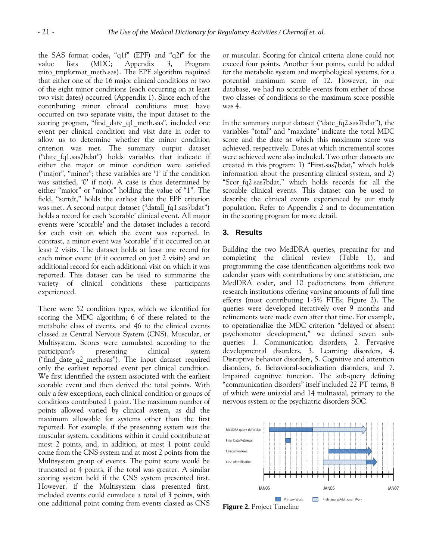the SAS format codes, "q1f" (EPF) and "q2f" for the value lists (MDC; Appendix 3, Program mito tmpformat meth.sas). The EPF algorithm required that either one of the 16 major clinical conditions or two of the eight minor conditions (each occurring on at least two visit dates) occurred (Appendix 1). Since each of the contributing minor clinical conditions must have occurred on two separate visits, the input dataset to the scoring program, "find\_date\_q1\_meth.sas", included one event per clinical condition and visit date in order to allow us to determine whether the minor condition criterion was met. The summary output dataset ("date\_fq1.sas7bdat") holds variables that indicate if either the major or minor condition were satisfied ("major", "minor"; these variables are "1" if the condition was satisfied, "0" if not). A case is thus determined by either "major" or "minor" holding the value of "1". The field, "sortdt," holds the earliest date the EPF criterion was met. A second output dataset ("datall\_fq1.sas7bdat") holds a record for each "scorable" clinical event. All major events were "scorable" and the dataset includes a record for each visit on which the event was reported. In contrast, a minor event was "scorable" if it occurred on at least 2 visits. The dataset holds at least one record for each minor event (if it occurred on just 2 visits) and an additional record for each additional visit on which it was reported. This dataset can be used to summarize the variety of clinical conditions these participants experienced.

There were 52 condition types, which we identified for scoring the MDC algorithm; 6 of these related to the metabolic class of events, and 46 to the clinical events classed as Central Nervous System (CNS), Muscular, or Multisystem. Scores were cumulated according to the participant"s presenting clinical system ("find\_date\_q2\_meth.sas"). The input dataset required only the earliest reported event per clinical condition. We first identified the system associated with the earliest scorable event and then derived the total points. With only a few exceptions, each clinical condition or groups of conditions contributed 1 point. The maximum number of points allowed varied by clinical system, as did the maximum allowable for systems other than the first reported. For example, if the presenting system was the muscular system, conditions within it could contribute at most 2 points, and, in addition, at most 1 point could come from the CNS system and at most 2 points from the Multisystem group of events. The point score would be truncated at 4 points, if the total was greater. A similar scoring system held if the CNS system presented first. However, if the Multisystem class presented first, included events could cumulate a total of 3 points, with one additional point coming from events classed as CNS or muscular. Scoring for clinical criteria alone could not exceed four points. Another four points, could be added for the metabolic system and morphological systems, for a potential maximum score of 12. However, in our database, we had no scorable events from either of those two classes of conditions so the maximum score possible was 4.

In the summary output dataset ("date\_fq2.sas7bdat"), the variables "total" and "maxdate" indicate the total MDC score and the date at which this maximum score was achieved, respectively. Dates at which incremental scores were achieved were also included. Two other datasets are created in this program: 1) "First.sas7bdat," which holds information about the presenting clinical system, and 2) "Scor\_fq2.sas7bdat," which holds records for all the scorable clinical events. This dataset can be used to describe the clinical events experienced by our study population. Refer to Appendix 2 and to documentation in the scoring program for more detail.

#### **3. Results**

Building the two MedDRA queries, preparing for and completing the clinical review (Table 1), and programming the case identification algorithms took two calendar years with contributions by one statistician, one MedDRA coder, and 10 pediatricians from different research institutions offering varying amounts of full time efforts (most contributing 1-5% FTEs; Figure 2). The queries were developed iteratively over 9 months and refinements were made even after that time. For example, to operationalize the MDC criterion "delayed or absent psychomotor development," we defined seven subqueries: 1. Communication disorders, 2. Pervasive developmental disorders, 3. Learning disorders, 4. Disruptive behavior disorders, 5. Cognitive and attention disorders, 6. Behavioral-socialization disorders, and 7. Impaired cognitive function. The sub-query defining "communication disorders" itself included 22 PT terms, 8 of which were uniaxial and 14 multiaxial, primary to the nervous system or the psychiatric disorders SOC.



**Figure 2.** Project Timeline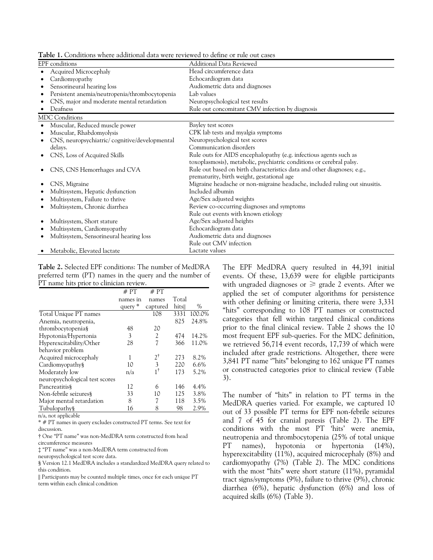| EPF conditions                                             | Additional Data Reviewed                                                                                                                  |
|------------------------------------------------------------|-------------------------------------------------------------------------------------------------------------------------------------------|
| Acquired Microcephaly<br>$\bullet$                         | Head circumference data                                                                                                                   |
| Cardiomyopathy<br>$\bullet$                                | Echocardiogram data                                                                                                                       |
| Sensorineural hearing loss<br>$\bullet$                    | Audiometric data and diagnoses                                                                                                            |
| Persistent anemia/neutropenia/thrombocytopenia<br>٠        | Lab values                                                                                                                                |
| CNS, major and moderate mental retardation                 | Neuropsychological test results                                                                                                           |
| Deafness                                                   | Rule out concomitant CMV infection by diagnosis                                                                                           |
| <b>MDC</b> Conditions                                      |                                                                                                                                           |
| Muscular, Reduced muscle power                             | Bayley test scores                                                                                                                        |
| Muscular, Rhabdomyolysis<br>$\bullet$                      | CPK lab tests and myalgia symptoms                                                                                                        |
| CNS, neuropsychiatric/cognitive/developmental<br>$\bullet$ | Neuropsychological test scores                                                                                                            |
| delays.                                                    | Communication disorders                                                                                                                   |
| CNS, Loss of Acquired Skills                               | Rule outs for AIDS encephalopathy (e.g. infectious agents such as<br>toxoplasmosis), metabolic, psychiatric conditions or cerebral palsy. |
| CNS, CNS Hemorrhages and CVA                               | Rule out based on birth characteristics data and other diagnoses; e.g.,<br>prematurity, birth weight, gestational age                     |
| CNS, Migraine                                              | Migraine headache or non-migraine headache, included ruling out sinusitis.                                                                |
| Multisystem, Hepatic dysfunction                           | Included albumin                                                                                                                          |
| Multisystem, Failure to thrive                             | Age/Sex adjusted weights                                                                                                                  |
| Multisystem, Chronic diarrhea                              | Review co-occurring diagnoses and symptoms                                                                                                |
|                                                            | Rule out events with known etiology                                                                                                       |
| Multisystem, Short stature<br>٠                            | Age/Sex adjusted heights                                                                                                                  |
| Multisystem, Cardiomyopathy                                | Echocardiogram data                                                                                                                       |
| Multisystem, Sensorineural hearing loss                    | Audiometric data and diagnoses                                                                                                            |
|                                                            | Rule out CMV infection                                                                                                                    |
| Metabolic, Elevated lactate                                | Lactate values                                                                                                                            |

**Table 1.** Conditions where additional data were reviewed to define or rule out cases

**Table 2.** Selected EPF conditions: The number of MedDRA preferred term (PT) names in the query and the number of PT name hits prior to clinician review.

|                                | # PT     | # PT          |       |        |
|--------------------------------|----------|---------------|-------|--------|
|                                | names in | names         | Total |        |
|                                | query *  | captured      | hits  | $\%$   |
| Total Unique PT names          |          | 108           | 3331  | 100.0% |
| Anemia, neutropenia,           |          |               | 825   | 24.8%  |
| thrombocytopenia§              | 48       | 20            |       |        |
| Hypotonia/Hypertonia           | 3        | 2             | 474   | 14.2%  |
| Hyperexcitability/Other        | 28       | 7             | 366   | 11.0%  |
| behavior problem               |          |               |       |        |
| Acquired microcephaly          | 1        | $2^{\dagger}$ | 273   | 8.2%   |
| Cardiomyopathy§                | 10       | 3             | 220   | 6.6%   |
| Moderately low                 | n/a      | $1^{\dagger}$ | 173   | 5.2%   |
| neuropsychological test scores |          |               |       |        |
| Pancreatitis§                  | 12       | 6             | 146   | 4.4%   |
| Non-febrile seizures§          | 33       | 10            | 125   | 3.8%   |
| Major mental retardation       | 8        | 7             | 118   | 3.5%   |
| Tubulopathy§                   | 16       | 8             | 98    | 2.9%   |

n/a, not applicable

\* # PT names in query excludes constructed PT terms. See text for discussion.

† One "PT name" was non-MedDRA term constructed from head circumference measures

‡ "PT name" was a non-MedDRA term constructed from

neuropsychological test score data.

§ Version 12.1 MedDRA includes a standardized MedDRA query related to this condition.

|| Participants may be counted multiple times, once for each unique PT term within each clinical condition

The EPF MedDRA query resulted in 44,391 initial events. Of these, 13,639 were for eligible participants with ungraded diagnoses or  $\ge$  grade 2 events. After we applied the set of computer algorithms for persistence with other defining or limiting criteria, there were 3,331 "hits" corresponding to 108 PT names or constructed categories that fell within targeted clinical conditions prior to the final clinical review. Table 2 shows the 10 most frequent EPF sub-queries. For the MDC definition, we retrieved 56,714 event records, 17,739 of which were included after grade restrictions. Altogether, there were 3,841 PT name ""hits" belonging to 162 unique PT names or constructed categories prior to clinical review (Table 3).

The number of "hits" in relation to PT terms in the MedDRA queries varied. For example, we captured 10 out of 33 possible PT terms for EPF non-febrile seizures and 7 of 45 for cranial paresis (Table 2). The EPF conditions with the most PT 'hits' were anemia, neutropenia and thrombocytopenia (25% of total unique PT names), hypotonia or hypertonia (14%), hyperexcitability (11%), acquired microcephaly (8%) and cardiomyopathy (7%) (Table 2). The MDC conditions with the most "hits" were short stature (11%), pyramidal tract signs/symptoms (9%), failure to thrive (9%), chronic diarrhea (6%), hepatic dysfunction (6%) and loss of acquired skills (6%) (Table 3).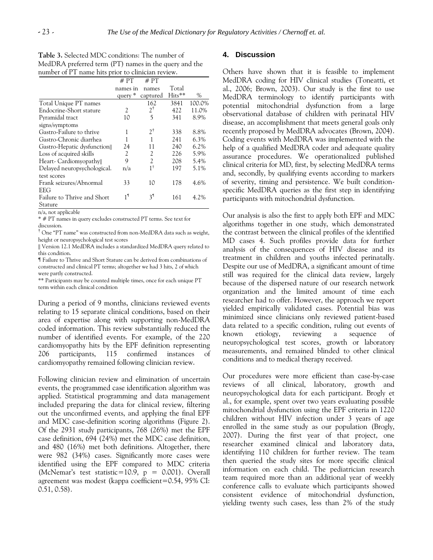| number of PT name hits prior to clinician review. |                |                |        |         |  |
|---------------------------------------------------|----------------|----------------|--------|---------|--|
|                                                   | # PT           | # PT           |        |         |  |
|                                                   | names in       | names          | Total  |         |  |
|                                                   | query *        | captured       | Hits** | $\%$    |  |
| Total Unique PT names                             |                | 162            | 3841   | 100.0%  |  |
| Endocrine-Short stature                           | 2              | $2^{\dagger}$  | 422    | 11.0%   |  |
| Pyramidal tract                                   | 10             | 5              | 341    | 8.9%    |  |
| signs/symptoms                                    |                |                |        |         |  |
| Gastro-Failure to thrive                          | 1              | $2^{\dagger}$  | 338    | 8.8%    |  |
| Gastro-Chronic diarrhea                           |                | $\mathbf{1}$   | 241    | $6.3\%$ |  |
| Gastro-Hepatic dysfunction                        | 24             | 11             | 240    | 6.2%    |  |
| Loss of acquired skills                           | 2              | 2              | 226    | 5.9%    |  |
| Heart- Cardiomyopathyll                           | 9              | $\overline{c}$ | 208    | 5.4%    |  |
| Delayed neuropsychological.                       | n/a            | 1†             | 197    | 5.1%    |  |
| test scores                                       |                |                |        |         |  |
| Frank seizures/Abnormal                           | 33             | 10             | 178    | 4.6%    |  |
| EEG                                               |                |                |        |         |  |
| Failure to Thrive and Short                       | 1 <sup>1</sup> | 3 <sup>1</sup> | 161    | 4.2%    |  |
| Stature                                           |                |                |        |         |  |

**Table 3.** Selected MDC conditions: The number of MedDRA preferred term (PT) names in the query and the

n/a, not applicable

\* # PT names in query excludes constructed PT terms. See text for discussion.

† One "PT name" was constructed from non-MedDRA data such as weight, height or neuropsychological test scores

|| Version 12.1 MedDRA includes a standardized MedDRA query related to this condition.

¶ Failure to Thrive and Short Stature can be derived from combinations of constructed and clinical PT terms; altogether we had 3 hits, 2 of which were partly constructed.

\*\* Participants may be counted multiple times, once for each unique PT term within each clinical condition

During a period of 9 months, clinicians reviewed events relating to 15 separate clinical conditions, based on their area of expertise along with supporting non-MedDRA coded information. This review substantially reduced the number of identified events. For example, of the 220 cardiomyopathy hits by the EPF definition representing 206 participants, 115 confirmed instances of cardiomyopathy remained following clinician review.

Following clinician review and elimination of uncertain events, the programmed case identification algorithm was applied. Statistical programming and data management included preparing the data for clinical review, filtering out the unconfirmed events, and applying the final EPF and MDC case-definition scoring algorithms (Figure 2). Of the 2931 study participants, 768 (26%) met the EPF case definition, 694 (24%) met the MDC case definition, and 480 (16%) met both definitions. Altogether, there were 982 (34%) cases. Significantly more cases were identified using the EPF compared to MDC criteria  $(McNemar's test statistic=10.9, p = 0.001)$ . Overall agreement was modest (kappa coefficient=0.54, 95% CI: 0.51, 0.58).

#### **4. Discussion**

Others have shown that it is feasible to implement MedDRA coding for HIV clinical studies (Toneatti, et al., 2006; Brown, 2003). Our study is the first to use MedDRA terminology to identify participants with potential mitochondrial dysfunction from a large observational database of children with perinatal HIV disease, an accomplishment that meets general goals only recently proposed by MedDRA advocates (Brown, 2004). Coding events with MedDRA was implemented with the help of a qualified MedDRA coder and adequate quality assurance procedures. We operationalized published clinical criteria for MD, first, by selecting MedDRA terms and, secondly, by qualifying events according to markers of severity, timing and persistence. We built conditionspecific MedDRA queries as the first step in identifying participants with mitochondrial dysfunction.

Our analysis is also the first to apply both EPF and MDC algorithms together in one study, which demonstrated the contrast between the clinical profiles of the identified MD cases 4. Such profiles provide data for further analysis of the consequences of HIV disease and its treatment in children and youths infected perinatally. Despite our use of MedDRA, a significant amount of time still was required for the clinical data review, largely because of the dispersed nature of our research network organization and the limited amount of time each researcher had to offer. However, the approach we report yielded empirically validated cases. Potential bias was minimized since clinicians only reviewed patient-based data related to a specific condition, ruling out events of known etiology, reviewing a sequence of neuropsychological test scores, growth or laboratory measurements, and remained blinded to other clinical conditions and to medical therapy received.

Our procedures were more efficient than case-by-case reviews of all clinical, laboratory, growth and neuropsychological data for each participant. Brogly et al., for example, spent over two years evaluating possible mitochondrial dysfunction using the EPF criteria in 1220 children without HIV infection under 3 years of age enrolled in the same study as our population (Brogly, 2007). During the first year of that project, one researcher examined clinical and laboratory data, identifying 110 children for further review. The team then queried the study sites for more specific clinical information on each child. The pediatrician research team required more than an additional year of weekly conference calls to evaluate which participants showed consistent evidence of mitochondrial dysfunction, yielding twenty such cases, less than 2% of the study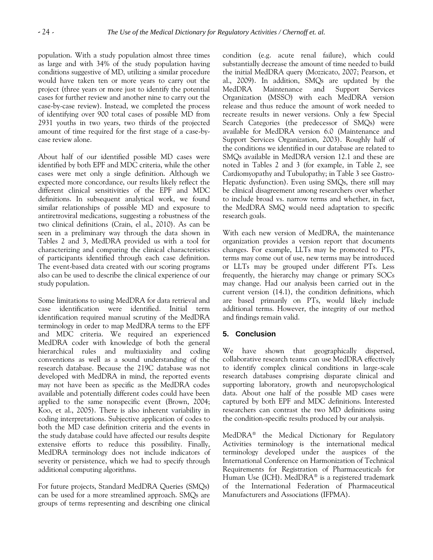population. With a study population almost three times as large and with 34% of the study population having conditions suggestive of MD, utilizing a similar procedure would have taken ten or more years to carry out the project (three years or more just to identify the potential cases for further review and another nine to carry out the case-by-case review). Instead, we completed the process of identifying over 900 total cases of possible MD from 2931 youths in two years, two thirds of the projected amount of time required for the first stage of a case-bycase review alone.

About half of our identified possible MD cases were identified by both EPF and MDC criteria, while the other cases were met only a single definition. Although we expected more concordance, our results likely reflect the different clinical sensitivities of the EPF and MDC definitions. In subsequent analytical work, we found similar relationships of possible MD and exposure to antiretroviral medications, suggesting a robustness of the two clinical definitions (Crain, el al., 2010). As can be seen in a preliminary way through the data shown in Tables 2 and 3, MedDRA provided us with a tool for characterizing and comparing the clinical characteristics of participants identified through each case definition. The event-based data created with our scoring programs also can be used to describe the clinical experience of our study population.

Some limitations to using MedDRA for data retrieval and case identification were identified. Initial term identification required manual scrutiny of the MedDRA terminology in order to map MedDRA terms to the EPF and MDC criteria. We required an experienced MedDRA coder with knowledge of both the general hierarchical rules and multiaxiality and coding conventions as well as a sound understanding of the research database. Because the 219C database was not developed with MedDRA in mind, the reported events may not have been as specific as the MedDRA codes available and potentially different codes could have been applied to the same nonspecific event (Brown, 2004; Koo, et al., 2005). There is also inherent variability in coding interpretations. Subjective application of codes to both the MD case definition criteria and the events in the study database could have affected our results despite extensive efforts to reduce this possibility. Finally, MedDRA terminology does not include indicators of severity or persistence, which we had to specify through additional computing algorithms.

For future projects, Standard MedDRA Queries (SMQs) can be used for a more streamlined approach. SMQs are groups of terms representing and describing one clinical condition (e.g. acute renal failure), which could substantially decrease the amount of time needed to build the initial MedDRA query (Mozzicato, 2007; Pearson, et al., 2009). In addition, SMQs are updated by the MedDRA Maintenance and Support Services Organization (MSSO) with each MedDRA version release and thus reduce the amount of work needed to recreate results in newer versions. Only a few Special Search Categories (the predecessor of SMQs) were available for MedDRA version 6.0 (Maintenance and Support Services Organization, 2003). Roughly half of the conditions we identified in our database are related to SMQs available in MedDRA version 12.1 and these are noted in Tables 2 and 3 (for example, in Table 2, see Cardiomyopathy and Tubulopathy; in Table 3 see Gastro-Hepatic dysfunction). Even using SMQs, there still may be clinical disagreement among researchers over whether to include broad vs. narrow terms and whether, in fact, the MedDRA SMQ would need adaptation to specific research goals.

With each new version of MedDRA, the maintenance organization provides a version report that documents changes. For example, LLTs may be promoted to PTs, terms may come out of use, new terms may be introduced or LLTs may be grouped under different PTs. Less frequently, the hierarchy may change or primary SOCs may change. Had our analysis been carried out in the current version (14.1), the condition definitions, which are based primarily on PTs, would likely include additional terms. However, the integrity of our method and findings remain valid.

# **5. Conclusion**

We have shown that geographically dispersed, collaborative research teams can use MedDRA effectively to identify complex clinical conditions in large-scale research databases comprising disparate clinical and supporting laboratory, growth and neuropsychological data. About one half of the possible MD cases were captured by both EPF and MDC definitions. Interested researchers can contrast the two MD definitions using the condition-specific results produced by our analysis.

MedDRA® the Medical Dictionary for Regulatory Activities terminology is the international medical terminology developed under the auspices of the International Conference on Harmonization of Technical Requirements for Registration of Pharmaceuticals for Human Use (ICH). MedDRA<sup>®</sup> is a registered trademark of the International Federation of Pharmaceutical Manufacturers and Associations (IFPMA).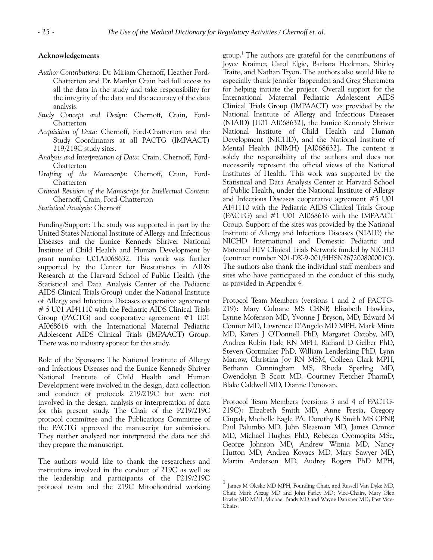#### **Acknowledgements**

- *Author Contributions:* Dr. Miriam Chernoff, Heather Ford-Chatterton and Dr. Marilyn Crain had full access to all the data in the study and take responsibility for the integrity of the data and the accuracy of the data analysis.
- *Study Concept and Design:* Chernoff, Crain, Ford-Chatterton
- *Acquisition of Data:* Chernoff, Ford-Chatterton and the Study Coordinators at all PACTG (IMPAACT) 219/219C study sites.
- *Analysis and Interpretation of Data:* Crain, Chernoff, Ford-Chatterton
- *Drafting of the Manuscript:* Chernoff, Crain, Ford-Chatterton
- *Critical Revision of the Manuscript for Intellectual Content:* Chernoff, Crain, Ford-Chatterton

*Statistical Analysis:* Chernoff

Funding/Support: The study was supported in part by the United States National Institute of Allergy and Infectious Diseases and the Eunice Kennedy Shriver National Institute of Child Health and Human Development by grant number U01AI068632. This work was further supported by the Center for Biostatistics in AIDS Research at the Harvard School of Public Health (the Statistical and Data Analysis Center of the Pediatric AIDS Clinical Trials Group) under the National Institute of Allergy and Infectious Diseases cooperative agreement # 5 U01 AI41110 with the Pediatric AIDS Clinical Trials Group (PACTG) and cooperative agreement #1 U01 AI068616 with the International Maternal Pediatric Adolescent AIDS Clinical Trials (IMPAACT) Group. There was no industry sponsor for this study.

Role of the Sponsors: The National Institute of Allergy and Infectious Diseases and the Eunice Kennedy Shriver National Institute of Child Health and Human Development were involved in the design, data collection and conduct of protocols 219/219C but were not involved in the design, analysis or interpretation of data for this present study. The Chair of the P219/219C protocol committee and the Publications Committee of the PACTG approved the manuscript for submission. They neither analyzed nor interpreted the data nor did they prepare the manuscript.

The authors would like to thank the researchers and institutions involved in the conduct of 219C as well as the leadership and participants of the P219/219C protocol team and the 219C Mitochondrial working group.<sup>1</sup> The authors are grateful for the contributions of Joyce Kraimer, Carol Elgie, Barbara Heckman, Shirley Traite, and Nathan Tryon. The authors also would like to especially thank Jennifer Tappenden and Greg Sheremeta for helping initiate the project. Overall support for the International Maternal Pediatric Adolescent AIDS Clinical Trials Group (IMPAACT) was provided by the National Institute of Allergy and Infectious Diseases (NIAID) [U01 AI068632], the Eunice Kennedy Shriver National Institute of Child Health and Human Development (NICHD), and the National Institute of Mental Health (NIMH) [AI068632]. The content is solely the responsibility of the authors and does not necessarily represent the official views of the National Institutes of Health. This work was supported by the Statistical and Data Analysis Center at Harvard School of Public Health, under the National Institute of Allergy and Infectious Diseases cooperative agreement #5 U01 AI41110 with the Pediatric AIDS Clinical Trials Group (PACTG) and #1 U01 AI068616 with the IMPAACT Group. Support of the sites was provided by the National Institute of Allergy and Infectious Diseases (NIAID) the NICHD International and Domestic Pediatric and Maternal HIV Clinical Trials Network funded by NICHD (contract number N01-DK-9-001/HHSN267200800001C). The authors also thank the individual staff members and sites who have participated in the conduct of this study, as provided in Appendix 4.

Protocol Team Members (versions 1 and 2 of PACTG-219): Mary Culnane MS CRNP, Elizabeth Hawkins, Lynne Mofenson MD, Yvonne J Bryson, MD, Edward M Connor MD, Lawrence D"Angelo MD MPH, Mark Mintz MD, Karen J O"Donnell PhD, Margaret Oxtoby, MD, Andrea Rubin Hale RN MPH, Richard D Gelber PhD, Steven Gortmaker PhD, William Lenderking PhD, Lynn Marrow, Christina Joy RN MSM, Colleen Clark MPH, Bethann Cunningham MS, Rhoda Sperling MD, Gwendolyn B Scott MD, Courtney Fletcher PharmD, Blake Caldwell MD, Dianne Donovan,

Protocol Team Members (versions 3 and 4 of PACTG-219C): Elizabeth Smith MD, Anne Fresia, Gregory Ciupak, Michelle Eagle PA, Dorothy R Smith MS CPNP, Paul Palumbo MD, John Sleasman MD, James Connor MD, Michael Hughes PhD, Rebecca Oyomopita MSc, George Johnson MD, Andrew Wiznia MD, Nancy Hutton MD, Andrea Kovacs MD, Mary Sawyer MD, Martin Anderson MD, Audrey Rogers PhD MPH,

 1 James M Oleske MD MPH, Founding Chair, and Russell Van Dyke MD, Chair, Mark Abzug MD and John Farley MD; Vice-Chairs, Mary Glen Fowler MD MPH, Michael Brady MD and Wayne Dankner MD; Past Vice-Chairs.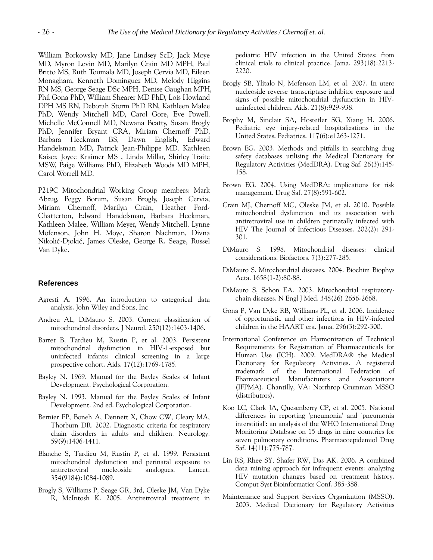William Borkowsky MD, Jane Lindsey ScD, Jack Moye MD, Myron Levin MD, Marilyn Crain MD MPH, Paul Britto MS, Ruth Toumala MD, Joseph Cervia MD, Eileen Monagham, Kenneth Dominguez MD, Melody Higgins RN MS, George Seage DSc MPH, Denise Gaughan MPH, Phil Gona PhD, William Shearer MD PhD, Lois Howland DPH MS RN, Deborah Storm PhD RN, Kathleen Malee PhD, Wendy Mitchell MD, Carol Gore, Eve Powell, Michelle McConnell MD, Newana Beatty, Susan Brogly PhD, Jennifer Bryant CRA, Miriam Chernoff PhD, Barbara Heckman BS, Dawn English, Edward Handelsman MD, Patrick Jean-Philippe MD, Kathleen Kaiser, Joyce Kraimer MS , Linda Millar, Shirley Traite MSW, Paige Williams PhD, Elizabeth Woods MD MPH, Carol Worrell MD.

P219C Mitochondrial Working Group members: Mark Abzug, Peggy Borum, Susan Brogly, Joseph Cervia, Miriam Chernoff, Marilyn Crain, Heather Ford-Chatterton, Edward Handelsman, Barbara Heckman, Kathleen Malee, William Meyer, Wendy Mitchell, Lynne Mofenson, John H. Moye, Sharon Nachman, Divna Nikolić-Djokić, James Oleske, George R. Seage, Russel Van Dyke.

#### **References**

- Agresti A. 1996. An introduction to categorical data analysis. John Wiley and Sons, Inc.
- Andreu AL, DiMauro S. 2003. Current classification of mitochondrial disorders. J Neurol. 250(12):1403-1406.
- Barret B, Tardieu M, Rustin P, et al. 2003. Persistent mitochondrial dysfunction in HIV-1-exposed but uninfected infants: clinical screening in a large prospective cohort. Aids. 17(12):1769-1785.
- Bayley N. 1969. Manual for the Bayley Scales of Infant Development. Psychological Corporation.
- Bayley N. 1993. Manual for the Bayley Scales of Infant Development. 2nd ed. Psychological Corporation.
- Bernier FP, Boneh A, Dennett X, Chow CW, Cleary MA, Thorburn DR. 2002. Diagnostic criteria for respiratory chain disorders in adults and children. Neurology. 59(9):1406-1411.
- Blanche S, Tardieu M, Rustin P, et al. 1999. Persistent mitochondrial dysfunction and perinatal exposure to antiretroviral nucleoside analogues. Lancet. 354(9184):1084-1089.
- Brogly S, Williams P, Seage GR, 3rd, Oleske JM, Van Dyke R, McIntosh K. 2005. Antiretroviral treatment in

pediatric HIV infection in the United States: from clinical trials to clinical practice. Jama. 293(18):2213- 2220.

- Brogly SB, Ylitalo N, Mofenson LM, et al. 2007. In utero nucleoside reverse transcriptase inhibitor exposure and signs of possible mitochondrial dysfunction in HIVuninfected children. Aids. 21(8):929-938.
- Brophy M, Sinclair SA, Hostetler SG, Xiang H. 2006. Pediatric eye injury-related hospitalizations in the United States. Pediatrics. 117(6):e1263-1271.
- Brown EG. 2003. Methods and pitfalls in searching drug safety databases utilising the Medical Dictionary for Regulatory Activities (MedDRA). Drug Saf. 26(3):145- 158.
- Brown EG. 2004. Using MedDRA: implications for risk management. Drug Saf. 27(8):591-602.
- Crain MJ, Chernoff MC, Oleske JM, et al. 2010. Possible mitochondrial dysfunction and its association with antiretroviral use in children perinatally infected with HIV The Journal of Infectious Diseases. 202(2): 291- 301.
- DiMauro S. 1998. Mitochondrial diseases: clinical considerations. Biofactors. 7(3):277-285.
- DiMauro S. Mitochondrial diseases. 2004. Biochim Biophys Acta. 1658(1-2):80-88.
- DiMauro S, Schon EA. 2003. Mitochondrial respiratorychain diseases. N Engl J Med. 348(26):2656-2668.
- Gona P, Van Dyke RB, Williams PL, et al. 2006. Incidence of opportunistic and other infections in HIV-infected children in the HAART era. Jama. 296(3):292-300.
- International Conference on Harmonization of Technical Requirements for Registration of Pharmaceuticals for Human Use (ICH). 2009. MedDRA® the Medical Dictionary for Regulatory Activities. A registered trademark of the International Federation of Pharmaceutical Manufacturers and Associations (IFPMA). Chantilly, VA: Northrop Grumman MSSO (distributors).
- Koo LC, Clark JA, Quesenberry CP, et al. 2005. National differences in reporting 'pneumonia' and 'pneumonia interstitial': an analysis of the WHO International Drug Monitoring Database on 15 drugs in nine countries for seven pulmonary conditions. Pharmacoepidemiol Drug Saf. 14(11):775-787.
- Lin RS, Rhee SY, Shafer RW, Das AK. 2006. A combined data mining approach for infrequent events: analyzing HIV mutation changes based on treatment history. Comput Syst Bioinformatics Conf. 385-388.
- Maintenance and Support Services Organization (MSSO). 2003. Medical Dictionary for Regulatory Activities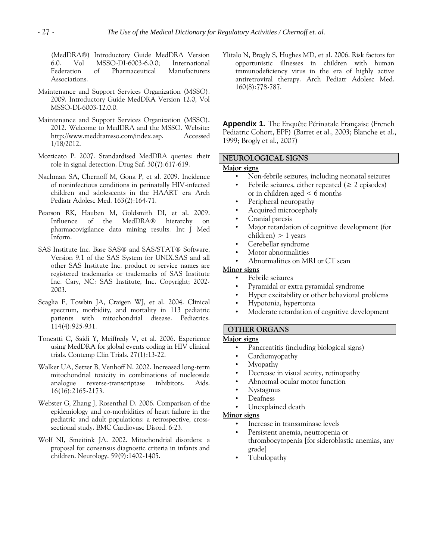(MedDRA®) Introductory Guide MedDRA Version 6.0. Vol MSSO-DI-6003-6.0.0; International Federation of Pharmaceutical Manufacturers Associations.

- Maintenance and Support Services Organization (MSSO). 2009. Introductory Guide MedDRA Version 12.0, Vol MSSO-DI-6003-12.0.0.
- Maintenance and Support Services Organization (MSSO). 2012. Welcome to MedDRA and the MSSO. Website: http://www.meddramsso.com/index.asp. Accessed 1/18/2012.
- Mozzicato P. 2007. Standardised MedDRA queries: their role in signal detection. Drug Saf. 30(7):617-619.
- Nachman SA, Chernoff M, Gona P, et al. 2009. Incidence of noninfectious conditions in perinatally HIV-infected children and adolescents in the HAART era Arch Pediatr Adolesc Med. 163(2):164-71.
- Pearson RK, Hauben M, Goldsmith DI, et al. 2009. Influence of the MedDRA® hierarchy on pharmacovigilance data mining results. Int J Med Inform.
- SAS Institute Inc. Base SAS® and SAS/STAT® Software, Version 9.1 of the SAS System for UNIX.SAS and all other SAS Institute Inc. product or service names are registered trademarks or trademarks of SAS Institute Inc. Cary, NC: SAS Institute, Inc. Copyright; 2002- 2003.
- Scaglia F, Towbin JA, Craigen WJ, et al. 2004. Clinical spectrum, morbidity, and mortality in 113 pediatric patients with mitochondrial disease. Pediatrics. 114(4):925-931.
- Toneatti C, Saidi Y, Meiffredy V, et al. 2006. Experience using MedDRA for global events coding in HIV clinical trials. Contemp Clin Trials. 27(1):13-22.
- Walker UA, Setzer B, Venhoff N. 2002. Increased long-term mitochondrial toxicity in combinations of nucleoside analogue reverse-transcriptase inhibitors. Aids. 16(16):2165-2173.
- Webster G, Zhang J, Rosenthal D. 2006. Comparison of the epidemiology and co-morbidities of heart failure in the pediatric and adult populations: a retrospective, crosssectional study. BMC Cardiovasc Disord. 6:23.
- Wolf NI, Smeitink JA. 2002. Mitochondrial disorders: a proposal for consensus diagnostic criteria in infants and children. Neurology. 59(9):1402-1405.

Ylitalo N, Brogly S, Hughes MD, et al. 2006. Risk factors for opportunistic illnesses in children with human immunodeficiency virus in the era of highly active antiretroviral therapy. Arch Pediatr Adolesc Med. 160(8):778-787.

**Appendix 1.** The Enquête Périnatale Française (French Pediatric Cohort, EPF) (Barret et al., 2003; Blanche et al., 1999; Brogly et al., 2007)

#### **NEUROLOGICAL SIGNS**

#### **Major signs**

- Non-febrile seizures, including neonatal seizures
- Febrile seizures, either repeated ( $\geq 2$  episodes) or in children aged < 6 months
- Peripheral neuropathy
- Acquired microcephaly
- Cranial paresis
- Major retardation of cognitive development (for  $children) > 1$  years
- Cerebellar syndrome
- Motor abnormalities
- Abnormalities on MRI or CT scan

#### **Minor signs**

- Febrile seizures
- Pyramidal or extra pyramidal syndrome
- Hyper excitability or other behavioral problems
- Hypotonia, hypertonia
- Moderate retardation of cognitive development

#### **OTHER ORGANS**

#### **Major signs**

- Pancreatitis (including biological signs)
- Cardiomyopathy
- Myopathy
- Decrease in visual acuity, retinopathy
- Abnormal ocular motor function
- Nystagmus
- Deafness
- Unexplained death

## **Minor signs**

- Increase in transaminase levels
- Persistent anemia, neutropenia or thrombocytopenia [for sideroblastic anemias, any grade]
- Tubulopathy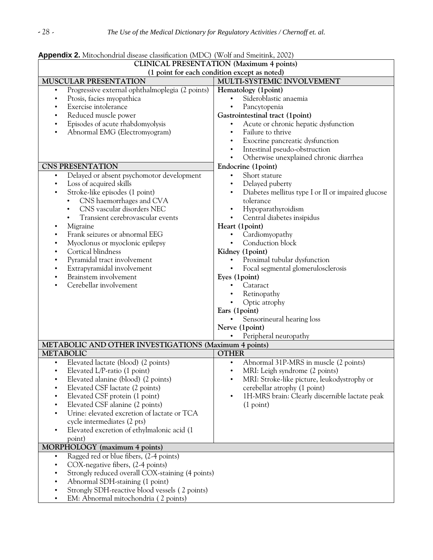| $\blacksquare$ Phrochonana disease elassification (PDO) (Wolf and Smerthin, 2002)<br><b>CLINICAL PRESENTATION (Maximum 4 points)</b>                                                                                                                                                                                                                                                                                                                                                                                                     |                                                                                                                                                                                                                                                                                                                                                                                                                                                                                           |  |  |  |
|------------------------------------------------------------------------------------------------------------------------------------------------------------------------------------------------------------------------------------------------------------------------------------------------------------------------------------------------------------------------------------------------------------------------------------------------------------------------------------------------------------------------------------------|-------------------------------------------------------------------------------------------------------------------------------------------------------------------------------------------------------------------------------------------------------------------------------------------------------------------------------------------------------------------------------------------------------------------------------------------------------------------------------------------|--|--|--|
| (1 point for each condition except as noted)                                                                                                                                                                                                                                                                                                                                                                                                                                                                                             |                                                                                                                                                                                                                                                                                                                                                                                                                                                                                           |  |  |  |
| MUSCULAR PRESENTATION                                                                                                                                                                                                                                                                                                                                                                                                                                                                                                                    | MULTI-SYSTEMIC INVOLVEMENT                                                                                                                                                                                                                                                                                                                                                                                                                                                                |  |  |  |
| Progressive external ophthalmoplegia (2 points)<br>$\bullet$<br>Ptosis, facies myopathica<br>$\bullet$<br>Exercise intolerance                                                                                                                                                                                                                                                                                                                                                                                                           | Hematology (1point)<br>Sideroblastic anaemia<br>$\bullet$<br>Pancytopenia                                                                                                                                                                                                                                                                                                                                                                                                                 |  |  |  |
| Reduced muscle power                                                                                                                                                                                                                                                                                                                                                                                                                                                                                                                     | Gastrointestinal tract (1point)                                                                                                                                                                                                                                                                                                                                                                                                                                                           |  |  |  |
| Episodes of acute rhabdomyolysis<br>٠<br>Abnormal EMG (Electromyogram)                                                                                                                                                                                                                                                                                                                                                                                                                                                                   | Acute or chronic hepatic dysfunction<br>$\bullet$<br>Failure to thrive<br>Exocrine pancreatic dysfunction<br>Intestinal pseudo-obstruction<br>$\bullet$<br>Otherwise unexplained chronic diarrhea<br>$\bullet$                                                                                                                                                                                                                                                                            |  |  |  |
| <b>CNS PRESENTATION</b>                                                                                                                                                                                                                                                                                                                                                                                                                                                                                                                  | Endocrine (1point)                                                                                                                                                                                                                                                                                                                                                                                                                                                                        |  |  |  |
| Delayed or absent psychomotor development<br>$\bullet$<br>Loss of acquired skills<br>$\bullet$<br>Stroke-like episodes (1 point)<br>$\bullet$<br>CNS haemorrhages and CVA<br>$\bullet$<br>CNS vascular disorders NEC<br>$\bullet$<br>Transient cerebrovascular events<br>$\bullet$<br>Migraine<br>Frank seizures or abnormal EEG<br>Myoclonus or myoclonic epilepsy<br>$\bullet$<br>Cortical blindness<br>Pyramidal tract involvement<br>$\bullet$<br>Extrapyramidal involvement<br>٠<br>Brainstem involvement<br>Cerebellar involvement | Short stature<br>$\bullet$<br>Delayed puberty<br>Diabetes mellitus type I or II or impaired glucose<br>tolerance<br>Hypoparathyroidism<br>Central diabetes insipidus<br>Heart (1point)<br>Cardiomyopathy<br>Conduction block<br>Kidney (1point)<br>Proximal tubular dysfunction<br>Focal segmental glomerulosclerosis<br>$\bullet$<br>Eyes (1point)<br>Cataract<br>Retinopathy<br>Optic atrophy<br>Ears (1point)<br>Sensorineural hearing loss<br>Nerve (1point)<br>Peripheral neuropathy |  |  |  |
| METABOLIC AND OTHER INVESTIGATIONS (Maximum 4 points)                                                                                                                                                                                                                                                                                                                                                                                                                                                                                    |                                                                                                                                                                                                                                                                                                                                                                                                                                                                                           |  |  |  |
| <b>METABOLIC</b>                                                                                                                                                                                                                                                                                                                                                                                                                                                                                                                         | <b>OTHER</b>                                                                                                                                                                                                                                                                                                                                                                                                                                                                              |  |  |  |
| Elevated lactate (blood) (2 points)<br>Elevated $L/P$ -ratio (1 point)<br>Elevated alanine (blood) (2 points)<br>Elevated CSF lactate (2 points)<br>Elevated CSF protein (1 point)<br>Elevated CSF alanine (2 points)<br>Urine: elevated excretion of lactate or TCA<br>cycle intermediates (2 pts)<br>Elevated excretion of ethylmalonic acid (1<br>point)                                                                                                                                                                              | Abnormal 31P-MRS in muscle (2 points)<br>$\bullet$<br>MRI: Leigh syndrome (2 points)<br>MRI: Stroke-like picture, leukodystrophy or<br>cerebellar atrophy (1 point)<br>1H-MRS brain: Clearly discernible lactate peak<br>٠<br>(1 point)                                                                                                                                                                                                                                                   |  |  |  |
| MORPHOLOGY (maximum 4 points)                                                                                                                                                                                                                                                                                                                                                                                                                                                                                                            |                                                                                                                                                                                                                                                                                                                                                                                                                                                                                           |  |  |  |
| Ragged red or blue fibers, (2-4 points)<br>$\bullet$<br>COX-negative fibers, (2-4 points)<br>$\bullet$<br>Strongly reduced overall COX-staining (4 points)<br>Abnormal SDH-staining (1 point)<br>Strongly SDH-reactive blood vessels (2 points)<br>EM: Abnormal mitochondria (2 points)                                                                                                                                                                                                                                                  |                                                                                                                                                                                                                                                                                                                                                                                                                                                                                           |  |  |  |

# **Appendix 2.** Mitochondrial disease classification (MDC) (Wolf and Smeitink, 2002)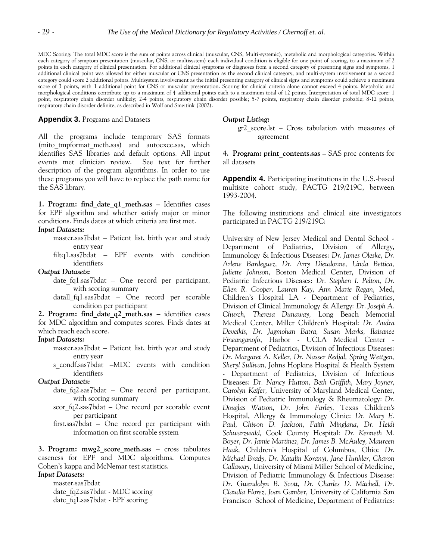MDC Scoring: The total MDC score is the sum of points across clinical (muscular, CNS, Multi-systemic), metabolic and morphological categories. Within each category of symptom presentation (muscular, CNS, or multisystem) each individual condition is eligible for one point of scoring, to a maximum of 2 points in each category of clinical presentation. For additional clinical symptoms or diagnoses from a second category of presenting signs and symptoms, 1 additional clinical point was allowed for either muscular or CNS presentation as the second clinical category, and multi-system involvement as a second category could score 2 additional points. Multisystem involvement as the initial presenting category of clinical signs and symptoms could achieve a maximum score of 3 points, with 1 additional point for CNS or muscular presentation. Scoring for clinical criteria alone cannot exceed 4 points. Metabolic and morphological conditions contribute up to a maximum of 4 additional points each to a maximum total of 12 points. Interpretation of total MDC score: 1 point, respiratory chain disorder unlikely; 2-4 points, respiratory chain disorder possible; 5-7 points, respiratory chain disorder probable; 8-12 points, respiratory chain disorder definite, as described in Wolf and Smeitink (2002).

#### **Appendix 3.** Programs and Datasets

All the programs include temporary SAS formats (mito tmpformat meth.sas) and autoexec.sas, which identifies SAS libraries and default options. All input events met clinician review. See text for further description of the program algorithms. In order to use these programs you will have to replace the path name for the SAS library.

**1. Program: find\_date\_q1\_meth.sas –** Identifies cases for EPF algorithm and whether satisfy major or minor conditions. Finds dates at which criteria are first met.

#### *Input Datasets:*

- master.sas7bdat Patient list, birth year and study entry year
- filtq1.sas7bdat EPF events with condition identifiers

#### *Output Datasets:*

- date fq1.sas7bdat One record per participant, with scoring summary
- datall\_fq1.sas7bdat One record per scorable condition per participant

**2. Program: find\_date\_q2\_meth.sas –** identifies cases for MDC algorithm and computes scores. Finds dates at which reach each score.

#### *Input Datasets:*

- master.sas7bdat Patient list, birth year and study entry year
- s condf.sas7bdat -MDC events with condition identifiers

#### *Output Datasets:*

- date  $fq2.sas7bdat One record per participant,$ with scoring summary
- scor fq2.sas7bdat One record per scorable event per participant
- first.sas7bdat One record per participant with information on first scorable system

**3. Program: mwg2\_score\_meth.sas –** cross tabulates caseness for EPF and MDC algorithms. Computes Cohen"s kappa and McNemar test statistics.

#### *Input Datasets:*

master.sas7bdat date\_fq2.sas7bdat - MDC scoring date\_fq1.sas7bdat - EPF scoring

#### *Output Listing:*

gr2\_score.lst – Cross tabulation with measures of agreement

**4. Program: print\_contents.sas –** SAS proc contents for all datasets

**Appendix 4.** Participating institutions in the U.S.-based multisite cohort study, PACTG 219/219C, between 1993-2004.

The following institutions and clinical site investigators participated in PACTG 219/219C:

University of New Jersey Medical and Dental School - Department of Pediatrics, Division of Allergy, Immunology & Infectious Diseases: *Dr. James Oleske, Dr. Arlene Bardeguez, Dr. Arry Dieudonne, Linda Bettica, Juliette Johnson,* Boston Medical Center, Division of Pediatric Infectious Diseases: *Dr. Stephen I. Pelton, Dr. Ellen R. Cooper, Lauren Kay, Ann Marie Regan,* Med, Children"s Hospital LA - Department of Pediatrics, Division of Clinical Immunology & Allergy: *Dr. Joseph A. Church, Theresa Dunaway,* Long Beach Memorial Medical Center, Miller Children's Hospital: *Dr. Audra Deveikis, Dr. Jagmohan Batra, Susan Marks, Ilaisanee Fineanganofo*, Harbor - UCLA Medical Center - Department of Pediatrics, Division of Infectious Diseases: *Dr. Margaret A. Keller, Dr. Nasser Redjal, Spring Wettgen, Sheryl Sullivan,* Johns Hopkins Hospital & Health System - Department of Pediatrics, Division of Infectious Diseases: *Dr. Nancy Hutton, Beth Griffith, Mary Joyner, Carolyn Keifer,* University of Maryland Medical Center, Division of Pediatric Immunology & Rheumatology: *Dr. Douglas Watson, Dr. John Farley,* Texas Children's Hospital, Allergy & Immunology Clinic: *Dr. Mary E. Paul, Chivon D. Jackson, Faith Minglana, Dr. Heidi Schwarzwald,* Cook County Hospital: *Dr. Kenneth M. Boyer, Dr. Jamie Martinez, Dr. James B. McAuley, Maureen Haak,* Children's Hospital of Columbus, Ohio: *Dr. Michael Brady, Dr. Katalin Koranyi, Jane Hunkler, Charon Callaway*, University of Miami Miller School of Medicine, Division of Pediatric Immunology & Infectious Disease: *Dr. Gwendolyn B. Scott, Dr. Charles D. Mitchell, Dr. Claudia Florez, Joan Gamber,* University of California San Francisco School of Medicine, Department of Pediatrics: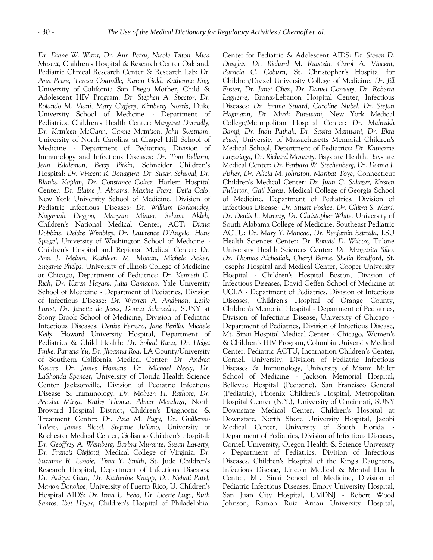*Dr. Diane W. Wara, Dr. Ann Petru, Nicole Tilton, Mica Muscat,* Children's Hospital & Research Center Oakland, Pediatric Clinical Research Center & Research Lab: *Dr. Ann Petru, Teresa Courville, Karen Gold, Katherine Eng,*  University of California San Diego Mother, Child & Adolescent HIV Program: *Dr. Stephen A. Spector, Dr. Rolando M. Viani, Mary Caffery, Kimberly Norris*, Duke University School of Medicine - Department of Pediatrics, Children's Health Center: *Margaret Donnelly, Dr. Kathleen McGann, Carole Mathison, John Swetnam*, University of North Carolina at Chapel Hill School of Medicine - Department of Pediatrics, Division of Immunology and Infectious Diseases: *Dr. Tom Belhorn, Jean Eddleman, Betsy Pitkin,* Schneider Children"s Hospital: *Dr. Vincent R. Bonagura, Dr. Susan Schuval, Dr. Blanka Kaplan, Dr. Constance Colter,* Harlem Hospital Center: *Dr. Elaine J. Abrams, Maxine Frere, Delia Calo*, New York University School of Medicine, Division of Pediatric Infectious Diseases: *Dr. William Borkowsky, Nagamah Deygoo, Maryam Minter, Seham Akleh,* Children's National Medical Center, ACT: *Diana Dobbins, Deidre Wimbley, Dr. Lawrence D'Angelo, Hans Spiegel,* University of Washington School of Medicine - Children's Hospital and Regional Medical Center: *Dr. Ann J. Melvin, Kathleen M. Mohan, Michele Acker, Suzanne Phelps,* University of Illinois College of Medicine at Chicago, Department of Pediatrics: *Dr. Kenneth C. Rich, Dr. Karen Hayani, Julia Camacho,* Yale University School of Medicine - Department of Pediatrics, Division of Infectious Disease: *Dr. Warren A. Andiman, Leslie Hurst, Dr. Janette de Jesus, Donna Schroeder,* SUNY at Stony Brook School of Medicine, Division of Pediatric Infectious Diseases: *Denise Ferraro, Jane Perillo, Michele Kelly,* Howard University Hospital, Department of Pediatrics & Child Health: *Dr. Sohail Rana, Dr. Helga Finke, Patricia Yu, Dr. Jhoanna Roa,* LA County/University of Southern California Medical Center: *Dr. Andrea Kovacs, Dr. James Homans, Dr. Michael Neely, Dr. LaShonda Spencer,* University of Florida Health Science Center Jacksonville, Division of Pediatric Infectious Disease & Immunology: *Dr. Mobeen H. Rathore, Dr. Ayesha Mirza, Kathy Thoma, Almer Mendoza,* North Broward Hospital District, Children's Diagnostic & Treatment Center: *Dr. Ana M. Puga, Dr. Guillermo Talero, James Blood, Stefanie Juliano,* University of Rochester Medical Center, Golisano Children's Hospital: *Dr. Geoffrey A. Weinberg, Barbra Murante, Susan Laverty, Dr. Francis Gigliotti*, Medical College of Virginia: *Dr. Suzanne R. Lavoie, Tima Y. Smith*, St. Jude Children's Research Hospital, Department of Infectious Diseases*: Dr. Aditya Gaur, Dr. Katherine Knapp, Dr. Nehali Patel, Marion Donohoe*, University of Puerto Rico, U. Children"s Hospital AIDS: *Dr. Irma L. Febo, Dr. Licette Lugo, Ruth Santos, Ibet Heyer,* Children's Hospital of Philadelphia, Center for Pediatric & Adolescent AIDS: *Dr. Steven D. Douglas, Dr. Richard M. Rutstein, Carol A. Vincent,*  Patricia C. Coburn, St. Christopher's Hospital for Children/Drexel University College of Medicine*: Dr. Jill Foster, Dr. Janet Chen, Dr. Daniel Conway, Dr. Roberta Laguerre,* Bronx-Lebanon Hospital Center, Infectious Diseases: *Dr. Emma Stuard, Caroline Nubel, Dr. Stefan Hagmann, Dr. Murli Purswani,* New York Medical College/Metropolitan Hospital Center: *Dr. Mahrukh Bamji, Dr. Indu Pathak, Dr. Savita Manwani, Dr. Ekta Patel*, University of Massachusetts Memorial Children's Medical School, Department of Pediatrics: *Dr. Katherine Luzuriaga, Dr. Richard Moriarty,* Baystate Health, Baystate Medical Center: *Dr. Barbara W. Stechenberg, Dr. Donna J. Fisher, Dr. Alicia M. Johnston, Maripat Toye*, Connecticut Children's Medical Center: *Dr. Juan C. Salazar, Kirsten Fullerton, Gail Karas,* Medical College of Georgia School of Medicine, Department of Pediatrics, Division of Infectious Disease: *Dr. Stuart Foshee, Dr. Chitra S. Mani, Dr. Deniis L. Murray, Dr. Christopher White,* University of South Alabama College of Medicine, Southeast Pediatric ACTU: *Dr. Mary Y. Mancao, Dr. Benjamin Estrada*, LSU Health Sciences Center: *Dr. Ronald D. Wilcox*, Tulane University Health Sciences Center: *Dr. Margarita Silio, Dr. Thomas Alchediak, Cheryl Borne, Shelia Bradford*, St. Josephs Hospital and Medical Center, Cooper University Hospital - Children's Hospital Boston, Division of Infectious Diseases, David Geffen School of Medicine at UCLA - Department of Pediatrics, Division of Infectious Diseases, Children's Hospital of Orange County, Children's Memorial Hospital - Department of Pediatrics, Division of Infectious Disease, University of Chicago - Department of Pediatrics, Division of Infectious Disease, Mt. Sinai Hospital Medical Center - Chicago, Women"s & Children"s HIV Program, Columbia University Medical Center, Pediatric ACTU, Incarnation Children"s Center, Cornell University, Division of Pediatric Infectious Diseases & Immunology, University of Miami Miller School of Medicine - Jackson Memorial Hospital, Bellevue Hospital (Pediatric), San Francisco General (Pediatric), Phoenix Children's Hospital, Metropolitan Hospital Center (N.Y.), University of Cincinnati, SUNY Downstate Medical Center, Children's Hospital at Downstate, North Shore University Hospital, Jacobi Medical Center, University of South Florida Department of Pediatrics, Division of Infectious Diseases, Cornell University, Oregon Health & Science University - Department of Pediatrics, Division of Infectious Diseases, Children's Hospital of the King's Daughters, Infectious Disease, Lincoln Medical & Mental Health Center, Mt. Sinai School of Medicine, Division of Pediatric Infectious Diseases, Emory University Hospital, San Juan City Hospital, UMDNJ - Robert Wood Johnson, Ramon Ruiz Arnau University Hospital,